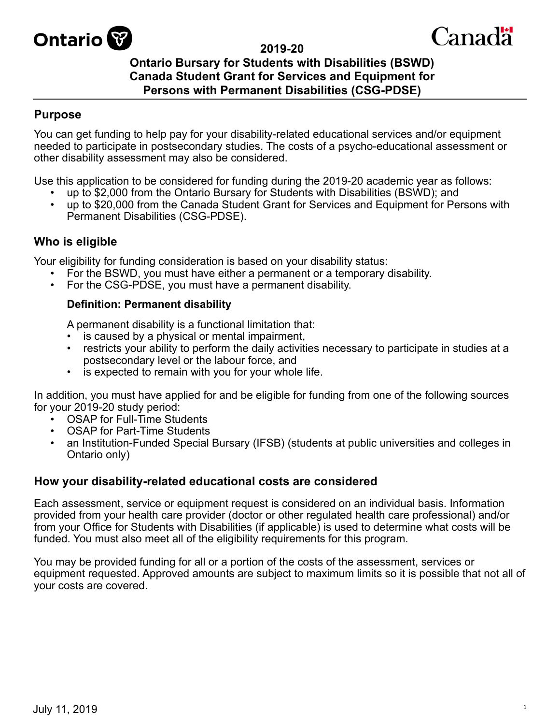

#### **2019-20**

# Canadä

# **Ontario Bursary for Students with Disabilities (BSWD) Canada Student Grant for Services and Equipment for Persons with Permanent Disabilities (CSG-PDSE)**

# **Purpose**

You can get funding to help pay for your disability-related educational services and/or equipment needed to participate in postsecondary studies. The costs of a psycho-educational assessment or other disability assessment may also be considered.

Use this application to be considered for funding during the 2019-20 academic year as follows:

- up to \$2,000 from the Ontario Bursary for Students with Disabilities (BSWD); and
- up to \$20,000 from the Canada Student Grant for Services and Equipment for Persons with Permanent Disabilities (CSG-PDSE).

# **Who is eligible**

Your eligibility for funding consideration is based on your disability status:

- For the BSWD, you must have either a permanent or a temporary disability.
- For the CSG-PDSE, you must have a permanent disability.

#### **Definition: Permanent disability**

A permanent disability is a functional limitation that:

- is caused by a physical or mental impairment,
- restricts your ability to perform the daily activities necessary to participate in studies at a postsecondary level or the labour force, and
- is expected to remain with you for your whole life.

In addition, you must have applied for and be eligible for funding from one of the following sources for your 2019-20 study period:

- **OSAP for Full-Time Students**
- OSAP for Part-Time Students
- an Institution-Funded Special Bursary (IFSB) (students at public universities and colleges in Ontario only)

#### **How your disability-related educational costs are considered**

Each assessment, service or equipment request is considered on an individual basis. Information provided from your health care provider (doctor or other regulated health care professional) and/or from your Office for Students with Disabilities (if applicable) is used to determine what costs will be funded. You must also meet all of the eligibility requirements for this program.

You may be provided funding for all or a portion of the costs of the assessment, services or equipment requested. Approved amounts are subject to maximum limits so it is possible that not all of your costs are covered.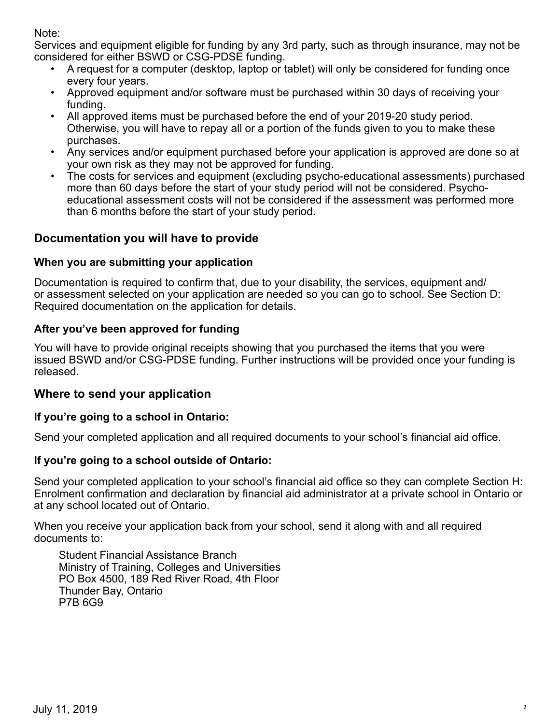Note:

Services and equipment eligible for funding by any 3rd party, such as through insurance, may not be considered for either BSWD or CSG-PDSE funding.

- A request for a computer (desktop, laptop or tablet) will only be considered for funding once every four years.
- Approved equipment and/or software must be purchased within 30 days of receiving your funding.
- All approved items must be purchased before the end of your 2019-20 study period. Otherwise, you will have to repay all or a portion of the funds given to you to make these purchases.
- Any services and/or equipment purchased before your application is approved are done so at your own risk as they may not be approved for funding.
- The costs for services and equipment (excluding psycho-educational assessments) purchased more than 60 days before the start of your study period will not be considered. Psychoeducational assessment costs will not be considered if the assessment was performed more than 6 months before the start of your study period.

# **Documentation you will have to provide**

# **When you are submitting your application**

Documentation is required to confirm that, due to your disability, the services, equipment and/ or assessment selected on your application are needed so you can go to school. See Section D: Required documentation on the application for details.

# **After you've been approved for funding**

You will have to provide original receipts showing that you purchased the items that you were issued BSWD and/or CSG-PDSE funding. Further instructions will be provided once your funding is released.

# **Where to send your application**

# **If you're going to a school in Ontario:**

Send your completed application and all required documents to your school's financial aid office.

# **If you're going to a school outside of Ontario:**

Send your completed application to your school's financial aid office so they can complete Section H: Enrolment confirmation and declaration by financial aid administrator at a private school in Ontario or at any school located out of Ontario.

When you receive your application back from your school, send it along with and all required documents to:

Student Financial Assistance Branch Ministry of Training, Colleges and Universities PO Box 4500, 189 Red River Road, 4th Floor Thunder Bay, Ontario P7B 6G9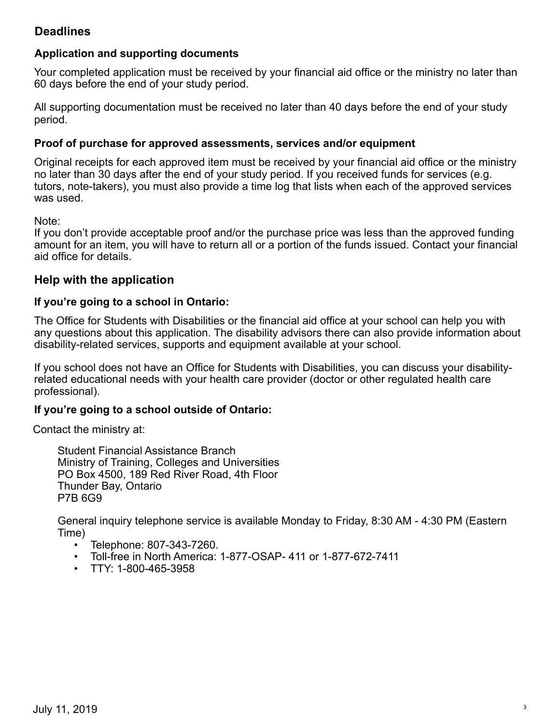# **Deadlines**

#### **Application and supporting documents**

Your completed application must be received by your financial aid office or the ministry no later than 60 days before the end of your study period.

All supporting documentation must be received no later than 40 days before the end of your study period.

#### **Proof of purchase for approved assessments, services and/or equipment**

Original receipts for each approved item must be received by your financial aid office or the ministry no later than 30 days after the end of your study period. If you received funds for services (e.g. tutors, note-takers), you must also provide a time log that lists when each of the approved services was used.

Note:

If you don't provide acceptable proof and/or the purchase price was less than the approved funding amount for an item, you will have to return all or a portion of the funds issued. Contact your financial aid office for details.

#### **Help with the application**

#### **If you're going to a school in Ontario:**

The Office for Students with Disabilities or the financial aid office at your school can help you with any questions about this application. The disability advisors there can also provide information about disability-related services, supports and equipment available at your school.

If you school does not have an Office for Students with Disabilities, you can discuss your disabilityrelated educational needs with your health care provider (doctor or other regulated health care professional).

#### **If you're going to a school outside of Ontario:**

Contact the ministry at:

Student Financial Assistance Branch Ministry of Training, Colleges and Universities PO Box 4500, 189 Red River Road, 4th Floor Thunder Bay, Ontario P7B 6G9

General inquiry telephone service is available Monday to Friday, 8:30 AM - 4:30 PM (Eastern Time)

- Telephone: 807-343-7260.
- Toll-free in North America: 1-877-OSAP- 411 or 1-877-672-7411
- TTY: 1-800-465-3958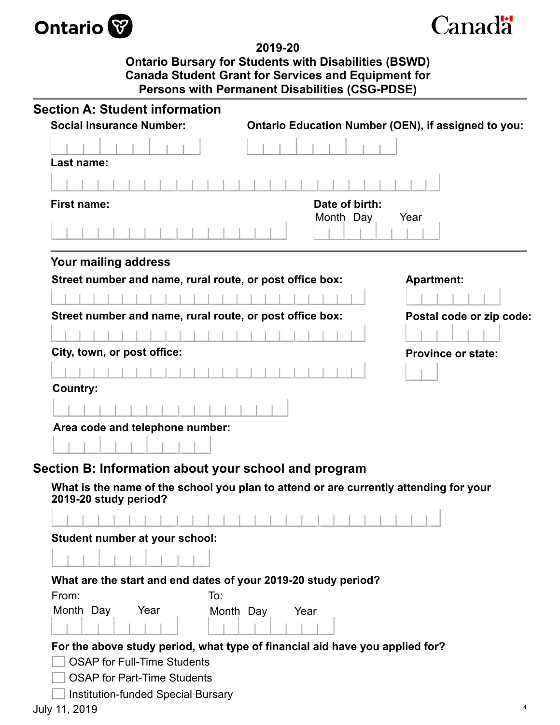



**2019-20 Ontario Bursary for Students with Disabilities (BSWD) Canada Student Grant for Services and Equipment for Persons with Permanent Disabilities (CSG-PDSE)**

| <b>Section A: Student information</b>                                                                                                                                  |                                                     |                           |
|------------------------------------------------------------------------------------------------------------------------------------------------------------------------|-----------------------------------------------------|---------------------------|
| <b>Social Insurance Number:</b>                                                                                                                                        | Ontario Education Number (OEN), if assigned to you: |                           |
| Last name:                                                                                                                                                             |                                                     |                           |
|                                                                                                                                                                        |                                                     |                           |
| <b>First name:</b>                                                                                                                                                     | Date of birth:                                      |                           |
|                                                                                                                                                                        | Month Day                                           | Year                      |
| Your mailing address                                                                                                                                                   |                                                     |                           |
| Street number and name, rural route, or post office box:                                                                                                               |                                                     | <b>Apartment:</b>         |
|                                                                                                                                                                        |                                                     |                           |
| Street number and name, rural route, or post office box:                                                                                                               |                                                     | Postal code or zip code:  |
|                                                                                                                                                                        |                                                     |                           |
| City, town, or post office:                                                                                                                                            |                                                     | <b>Province or state:</b> |
|                                                                                                                                                                        |                                                     |                           |
| <b>Country:</b>                                                                                                                                                        |                                                     |                           |
|                                                                                                                                                                        |                                                     |                           |
| Area code and telephone number:                                                                                                                                        |                                                     |                           |
|                                                                                                                                                                        |                                                     |                           |
|                                                                                                                                                                        |                                                     |                           |
| Section B: Information about your school and program<br>What is the name of the school you plan to attend or are currently attending for your<br>2019-20 study period? |                                                     |                           |
|                                                                                                                                                                        |                                                     |                           |
|                                                                                                                                                                        |                                                     |                           |
| Student number at your school:                                                                                                                                         |                                                     |                           |
|                                                                                                                                                                        |                                                     |                           |
| What are the start and end dates of your 2019-20 study period?                                                                                                         |                                                     |                           |
| From:<br>To:                                                                                                                                                           |                                                     |                           |
| Month Day<br>Year                                                                                                                                                      | Month Day<br>Year                                   |                           |
|                                                                                                                                                                        |                                                     |                           |
| For the above study period, what type of financial aid have you applied for?                                                                                           |                                                     |                           |
| <b>OSAP for Full-Time Students</b>                                                                                                                                     |                                                     |                           |
| <b>OSAP</b> for Part-Time Students<br><b>Institution-funded Special Bursary</b>                                                                                        |                                                     |                           |
| July 11, 2019                                                                                                                                                          |                                                     | 4                         |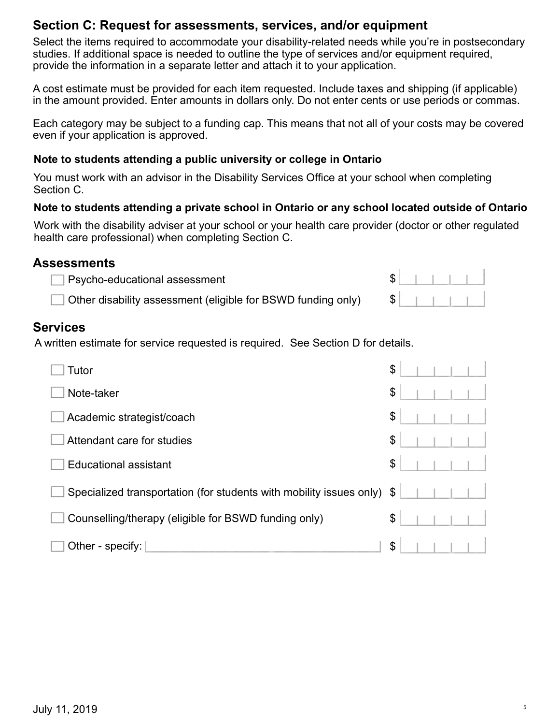# **Section C: Request for assessments, services, and/or equipment**

Select the items required to accommodate your disability-related needs while you're in postsecondary studies. If additional space is needed to outline the type of services and/or equipment required, provide the information in a separate letter and attach it to your application.

A cost estimate must be provided for each item requested. Include taxes and shipping (if applicable) in the amount provided. Enter amounts in dollars only. Do not enter cents or use periods or commas.

Each category may be subject to a funding cap. This means that not all of your costs may be covered even if your application is approved.

#### **Note to students attending a public university or college in Ontario**

You must work with an advisor in the Disability Services Office at your school when completing Section C.

#### **Note to students attending a private school in Ontario or any school located outside of Ontario**

Work with the disability adviser at your school or your health care provider (doctor or other regulated health care professional) when completing Section C.

### **Assessments**

Other disability assessment (eligible for BSWD funding only)

# **Services**

A written estimate for service requested is required. See Section D for details.

| Tutor                                                               | \$ |  |  |
|---------------------------------------------------------------------|----|--|--|
| Note-taker                                                          | \$ |  |  |
| Academic strategist/coach                                           | \$ |  |  |
| Attendant care for studies                                          | \$ |  |  |
| <b>Educational assistant</b>                                        | \$ |  |  |
| Specialized transportation (for students with mobility issues only) | \$ |  |  |
| Counselling/therapy (eligible for BSWD funding only)                | \$ |  |  |
| Other - specify:                                                    | \$ |  |  |

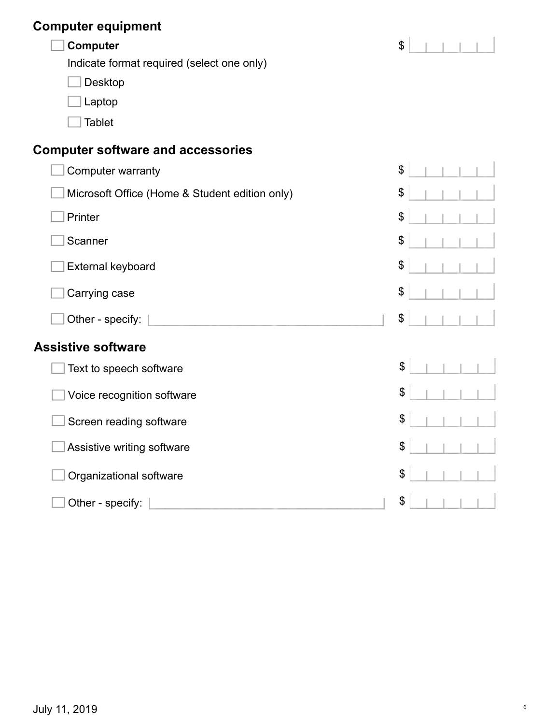# **Computer equipment**

Indicate format required (select one only)

Desktop Г

Laptop Г

 $\Box$ Tablet

# **Computer software and accessories**

| Computer warranty                              | $\mathfrak{S}$ |  |  |
|------------------------------------------------|----------------|--|--|
| Microsoft Office (Home & Student edition only) | \$             |  |  |
| Printer                                        | \$             |  |  |
| Scanner                                        | \$             |  |  |
| External keyboard                              | \$             |  |  |
| Carrying case                                  | \$             |  |  |
| Other - specify:                               | \$             |  |  |
| <b>Assistive software</b>                      |                |  |  |
| Text to speech software                        | \$             |  |  |
| Voice recognition software                     | \$             |  |  |
| Screen reading software                        | \$             |  |  |
| Assistive writing software                     | \$             |  |  |
| Organizational software                        | \$             |  |  |
| Other - specify:                               | \$             |  |  |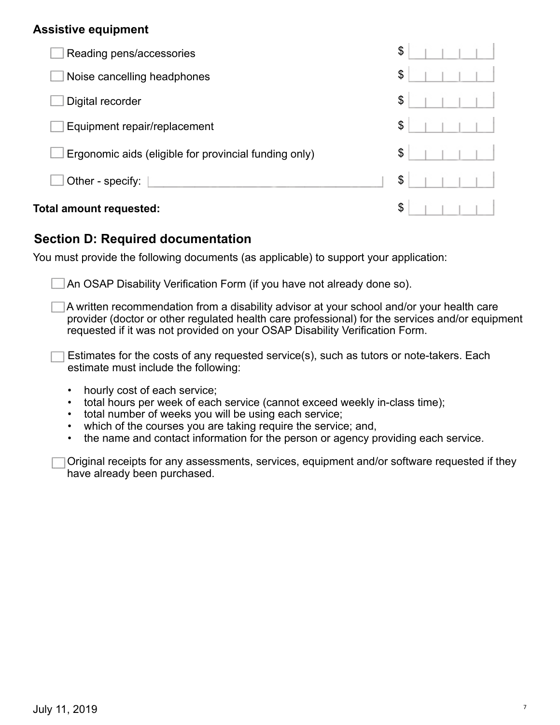### **Assistive equipment**

| Reading pens/accessories                              | \$ |
|-------------------------------------------------------|----|
| Noise cancelling headphones                           | \$ |
| Digital recorder                                      | \$ |
| Equipment repair/replacement                          | \$ |
| Ergonomic aids (eligible for provincial funding only) | \$ |
| Other - specify:                                      | \$ |
| Total amount requested:                               | \$ |

# **Section D: Required documentation**

You must provide the following documents (as applicable) to support your application:

An OSAP Disability Verification Form (if you have not already done so).

A written recommendation from a disability advisor at your school and/or your health care provider (doctor or other regulated health care professional) for the services and/or equipment requested if it was not provided on your OSAP Disability Verification Form.

Estimates for the costs of any requested service(s), such as tutors or note-takers. Each estimate must include the following:

- hourly cost of each service;
- total hours per week of each service (cannot exceed weekly in-class time);
- total number of weeks you will be using each service;
- which of the courses you are taking require the service; and,
- the name and contact information for the person or agency providing each service.

Original receipts for any assessments, services, equipment and/or software requested if they have already been purchased.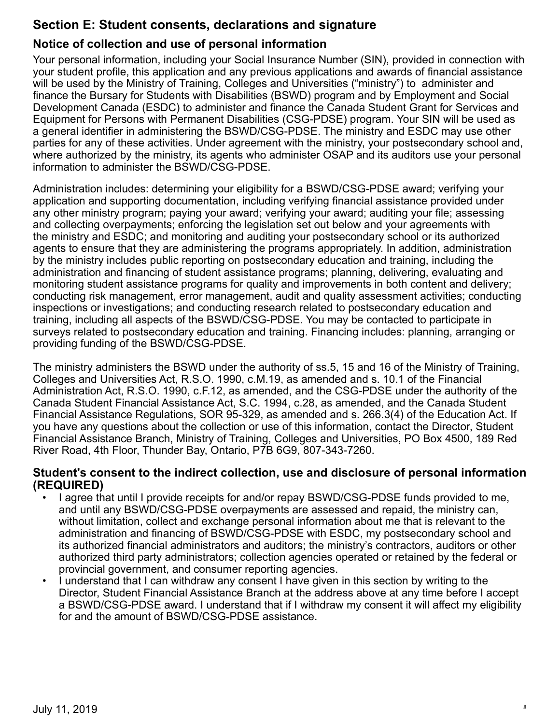# **Section E: Student consents, declarations and signature**

# **Notice of collection and use of personal information**

Your personal information, including your Social Insurance Number (SIN), provided in connection with your student profile, this application and any previous applications and awards of financial assistance will be used by the Ministry of Training, Colleges and Universities ("ministry") to administer and finance the Bursary for Students with Disabilities (BSWD) program and by Employment and Social Development Canada (ESDC) to administer and finance the Canada Student Grant for Services and Equipment for Persons with Permanent Disabilities (CSG-PDSE) program. Your SIN will be used as a general identifier in administering the BSWD/CSG-PDSE. The ministry and ESDC may use other parties for any of these activities. Under agreement with the ministry, your postsecondary school and, where authorized by the ministry, its agents who administer OSAP and its auditors use your personal information to administer the BSWD/CSG-PDSE.

Administration includes: determining your eligibility for a BSWD/CSG-PDSE award; verifying your application and supporting documentation, including verifying financial assistance provided under any other ministry program; paying your award; verifying your award; auditing your file; assessing and collecting overpayments; enforcing the legislation set out below and your agreements with the ministry and ESDC; and monitoring and auditing your postsecondary school or its authorized agents to ensure that they are administering the programs appropriately. In addition, administration by the ministry includes public reporting on postsecondary education and training, including the administration and financing of student assistance programs; planning, delivering, evaluating and monitoring student assistance programs for quality and improvements in both content and delivery; conducting risk management, error management, audit and quality assessment activities; conducting inspections or investigations; and conducting research related to postsecondary education and training, including all aspects of the BSWD/CSG-PDSE. You may be contacted to participate in surveys related to postsecondary education and training. Financing includes: planning, arranging or providing funding of the BSWD/CSG-PDSE.

The ministry administers the BSWD under the authority of ss.5, 15 and 16 of the Ministry of Training, Colleges and Universities Act, R.S.O. 1990, c.M.19, as amended and s. 10.1 of the Financial Administration Act, R.S.O. 1990, c.F.12, as amended, and the CSG-PDSE under the authority of the Canada Student Financial Assistance Act, S.C. 1994, c.28, as amended, and the Canada Student Financial Assistance Regulations, SOR 95-329, as amended and s. 266.3(4) of the Education Act. If you have any questions about the collection or use of this information, contact the Director, Student Financial Assistance Branch, Ministry of Training, Colleges and Universities, PO Box 4500, 189 Red River Road, 4th Floor, Thunder Bay, Ontario, P7B 6G9, 807-343-7260.

#### **Student's consent to the indirect collection, use and disclosure of personal information (REQUIRED)**

- I agree that until I provide receipts for and/or repay BSWD/CSG-PDSE funds provided to me, and until any BSWD/CSG-PDSE overpayments are assessed and repaid, the ministry can, without limitation, collect and exchange personal information about me that is relevant to the administration and financing of BSWD/CSG-PDSE with ESDC, my postsecondary school and its authorized financial administrators and auditors; the ministry's contractors, auditors or other authorized third party administrators; collection agencies operated or retained by the federal or provincial government, and consumer reporting agencies.
- I understand that I can withdraw any consent I have given in this section by writing to the Director, Student Financial Assistance Branch at the address above at any time before I accept a BSWD/CSG-PDSE award. I understand that if I withdraw my consent it will affect my eligibility for and the amount of BSWD/CSG-PDSE assistance.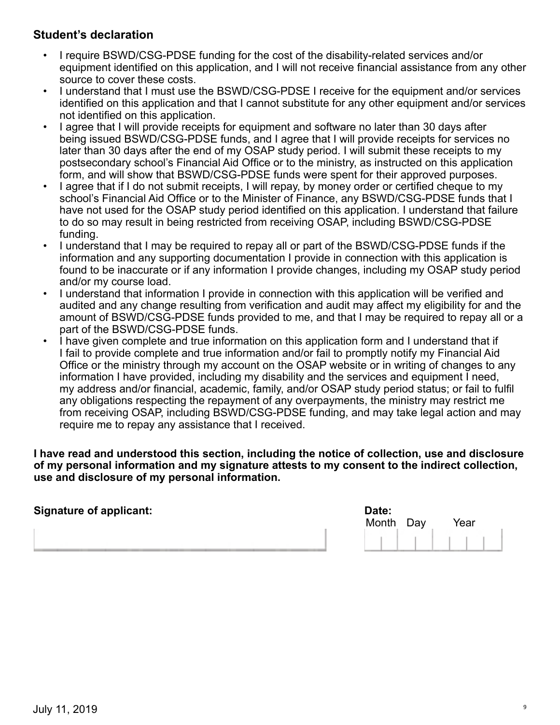# **Student's declaration**

- I require BSWD/CSG-PDSE funding for the cost of the disability-related services and/or equipment identified on this application, and I will not receive financial assistance from any other source to cover these costs.
- I understand that I must use the BSWD/CSG-PDSE I receive for the equipment and/or services identified on this application and that I cannot substitute for any other equipment and/or services not identified on this application.
- I agree that I will provide receipts for equipment and software no later than 30 days after being issued BSWD/CSG-PDSE funds, and I agree that I will provide receipts for services no later than 30 days after the end of my OSAP study period. I will submit these receipts to my postsecondary school's Financial Aid Office or to the ministry, as instructed on this application form, and will show that BSWD/CSG-PDSE funds were spent for their approved purposes.
- I agree that if I do not submit receipts, I will repay, by money order or certified cheque to my school's Financial Aid Office or to the Minister of Finance, any BSWD/CSG-PDSE funds that I have not used for the OSAP study period identified on this application. I understand that failure to do so may result in being restricted from receiving OSAP, including BSWD/CSG-PDSE funding.
- I understand that I may be required to repay all or part of the BSWD/CSG-PDSE funds if the information and any supporting documentation I provide in connection with this application is found to be inaccurate or if any information I provide changes, including my OSAP study period and/or my course load.
- I understand that information I provide in connection with this application will be verified and audited and any change resulting from verification and audit may affect my eligibility for and the amount of BSWD/CSG-PDSE funds provided to me, and that I may be required to repay all or a part of the BSWD/CSG-PDSE funds.
- I have given complete and true information on this application form and I understand that if I fail to provide complete and true information and/or fail to promptly notify my Financial Aid Office or the ministry through my account on the OSAP website or in writing of changes to any information I have provided, including my disability and the services and equipment I need, my address and/or financial, academic, family, and/or OSAP study period status; or fail to fulfil any obligations respecting the repayment of any overpayments, the ministry may restrict me from receiving OSAP, including BSWD/CSG-PDSE funding, and may take legal action and may require me to repay any assistance that I received.

**I have read and understood this section, including the notice of collection, use and disclosure of my personal information and my signature attests to my consent to the indirect collection, use and disclosure of my personal information.**

| <b>Signature of applicant:</b> | Date:     |      |
|--------------------------------|-----------|------|
|                                | Month Day | Year |
|                                |           |      |
|                                |           |      |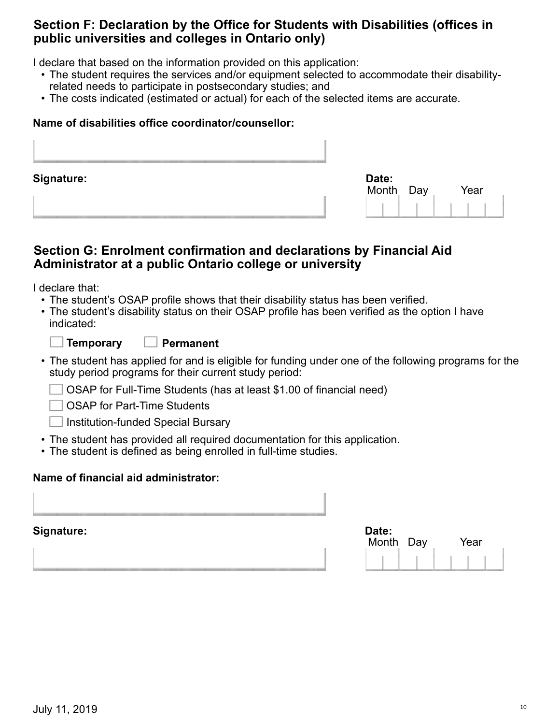# **Section F: Declaration by the Office for Students with Disabilities (offices in public universities and colleges in Ontario only)**

I declare that based on the information provided on this application:

- The student requires the services and/or equipment selected to accommodate their disabilityrelated needs to participate in postsecondary studies; and
- The costs indicated (estimated or actual) for each of the selected items are accurate.

#### **Name of disabilities office coordinator/counsellor:**

| <b>Signature:</b> | Date:<br>Month<br>Day<br>Year |
|-------------------|-------------------------------|
|                   |                               |

# **Section G: Enrolment confirmation and declarations by Financial Aid Administrator at a public Ontario college or university**

I declare that:

- The student's OSAP profile shows that their disability status has been verified.
- The student's disability status on their OSAP profile has been verified as the option I have indicated:

| <b>Temporar</b> |
|-----------------|
|-----------------|

**Temporary Permanent**

- The student has applied for and is eligible for funding under one of the following programs for the study period programs for their current study period:
	- OSAP for Full-Time Students (has at least \$1.00 of financial need)

OSAP for Part-Time Students

- Institution-funded Special Bursary
- The student has provided all required documentation for this application.
- The student is defined as being enrolled in full-time studies.

#### **Name of financial aid administrator:**

**Signature:** 

| Date:<br>Month Day | Year |
|--------------------|------|
|                    |      |